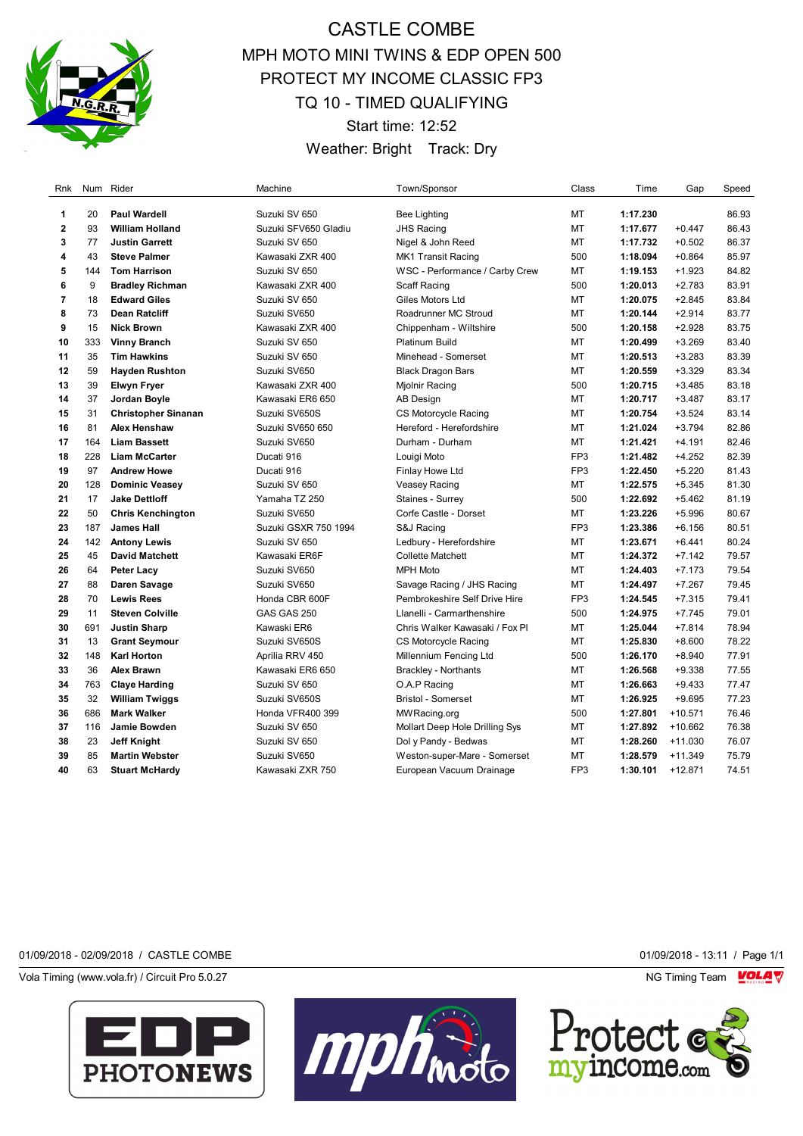

## CASTLE COMBE MPH MOTO MINI TWINS & EDP OPEN 500 PROTECT MY INCOME CLASSIC FP3 TQ 10 - TIMED QUALIFYING Start time: 12:52

Weather: Bright Track: Dry

| Rnk            | Num | Rider                      | Machine              | Town/Sponsor                   | Class           | Time     | Gap       | Speed |
|----------------|-----|----------------------------|----------------------|--------------------------------|-----------------|----------|-----------|-------|
| 1              | 20  | <b>Paul Wardell</b>        | Suzuki SV 650        | Bee Lighting                   | МT              | 1:17.230 |           | 86.93 |
| $\mathbf{2}$   | 93  | <b>William Holland</b>     | Suzuki SFV650 Gladiu | <b>JHS Racing</b>              | MT              | 1:17.677 | $+0.447$  | 86.43 |
| 3              | 77  | <b>Justin Garrett</b>      | Suzuki SV 650        | Nigel & John Reed              | MT              | 1:17.732 | $+0.502$  | 86.37 |
| 4              | 43  | <b>Steve Palmer</b>        | Kawasaki ZXR 400     | <b>MK1 Transit Racing</b>      | 500             | 1:18.094 | $+0.864$  | 85.97 |
| 5              | 144 | <b>Tom Harrison</b>        | Suzuki SV 650        | WSC - Performance / Carby Crew | MT              | 1:19.153 | $+1.923$  | 84.82 |
| 6              | 9   | <b>Bradley Richman</b>     | Kawasaki ZXR 400     | Scaff Racing                   | 500             | 1:20.013 | $+2.783$  | 83.91 |
| $\overline{7}$ | 18  | <b>Edward Giles</b>        | Suzuki SV 650        | Giles Motors Ltd               | MT              | 1:20.075 | $+2.845$  | 83.84 |
| 8              | 73  | <b>Dean Ratcliff</b>       | Suzuki SV650         | Roadrunner MC Stroud           | MT              | 1:20.144 | $+2.914$  | 83.77 |
| 9              | 15  | <b>Nick Brown</b>          | Kawasaki ZXR 400     | Chippenham - Wiltshire         | 500             | 1:20.158 | $+2.928$  | 83.75 |
| 10             | 333 | <b>Vinny Branch</b>        | Suzuki SV 650        | <b>Platinum Build</b>          | MT              | 1:20.499 | $+3.269$  | 83.40 |
| 11             | 35  | <b>Tim Hawkins</b>         | Suzuki SV 650        | Minehead - Somerset            | МT              | 1:20.513 | $+3.283$  | 83.39 |
| 12             | 59  | <b>Hayden Rushton</b>      | Suzuki SV650         | <b>Black Dragon Bars</b>       | MT              | 1:20.559 | $+3.329$  | 83.34 |
| 13             | 39  | <b>Elwyn Fryer</b>         | Kawasaki ZXR 400     | Mjolnir Racing                 | 500             | 1:20.715 | $+3.485$  | 83.18 |
| 14             | 37  | Jordan Boyle               | Kawasaki ER6 650     | <b>AB Design</b>               | MT              | 1:20.717 | $+3.487$  | 83.17 |
| 15             | 31  | <b>Christopher Sinanan</b> | Suzuki SV650S        | CS Motorcycle Racing           | MT              | 1:20.754 | $+3.524$  | 83.14 |
| 16             | 81  | <b>Alex Henshaw</b>        | Suzuki SV650 650     | Hereford - Herefordshire       | MT              | 1:21.024 | $+3.794$  | 82.86 |
| 17             | 164 | <b>Liam Bassett</b>        | Suzuki SV650         | Durham - Durham                | MT              | 1:21.421 | $+4.191$  | 82.46 |
| 18             | 228 | <b>Liam McCarter</b>       | Ducati 916           | Louigi Moto                    | FP <sub>3</sub> | 1:21.482 | $+4.252$  | 82.39 |
| 19             | 97  | <b>Andrew Howe</b>         | Ducati 916           | Finlay Howe Ltd                | FP3             | 1:22.450 | $+5.220$  | 81.43 |
| 20             | 128 | <b>Dominic Veasey</b>      | Suzuki SV 650        | <b>Veasey Racing</b>           | MT              | 1:22.575 | $+5.345$  | 81.30 |
| 21             | 17  | <b>Jake Dettloff</b>       | Yamaha TZ 250        | Staines - Surrey               | 500             | 1:22.692 | $+5.462$  | 81.19 |
| 22             | 50  | <b>Chris Kenchington</b>   | Suzuki SV650         | Corfe Castle - Dorset          | MT              | 1:23.226 | $+5.996$  | 80.67 |
| 23             | 187 | <b>James Hall</b>          | Suzuki GSXR 750 1994 | S&J Racing                     | FP3             | 1:23.386 | $+6.156$  | 80.51 |
| 24             | 142 | <b>Antony Lewis</b>        | Suzuki SV 650        | Ledbury - Herefordshire        | МT              | 1:23.671 | $+6.441$  | 80.24 |
| 25             | 45  | <b>David Matchett</b>      | Kawasaki ER6F        | <b>Collette Matchett</b>       | MT              | 1:24.372 | $+7.142$  | 79.57 |
| 26             | 64  | <b>Peter Lacy</b>          | Suzuki SV650         | <b>MPH Moto</b>                | MT              | 1:24.403 | $+7.173$  | 79.54 |
| 27             | 88  | Daren Savage               | Suzuki SV650         | Savage Racing / JHS Racing     | MT              | 1:24.497 | $+7.267$  | 79.45 |
| 28             | 70  | <b>Lewis Rees</b>          | Honda CBR 600F       | Pembrokeshire Self Drive Hire  | FP <sub>3</sub> | 1:24.545 | $+7.315$  | 79.41 |
| 29             | 11  | <b>Steven Colville</b>     | GAS GAS 250          | Llanelli - Carmarthenshire     | 500             | 1:24.975 | $+7.745$  | 79.01 |
| 30             | 691 | <b>Justin Sharp</b>        | Kawaski ER6          | Chris Walker Kawasaki / Fox Pl | MT              | 1:25.044 | $+7.814$  | 78.94 |
| 31             | 13  | <b>Grant Seymour</b>       | Suzuki SV650S        | CS Motorcycle Racing           | MT              | 1:25.830 | $+8.600$  | 78.22 |
| 32             | 148 | <b>Karl Horton</b>         | Aprilia RRV 450      | Millennium Fencing Ltd         | 500             | 1:26.170 | $+8.940$  | 77.91 |
| 33             | 36  | <b>Alex Brawn</b>          | Kawasaki ER6 650     | <b>Brackley - Northants</b>    | MT              | 1:26.568 | $+9.338$  | 77.55 |
| 34             | 763 | <b>Claye Harding</b>       | Suzuki SV 650        | O.A.P Racing                   | MT              | 1:26.663 | $+9.433$  | 77.47 |
| 35             | 32  | <b>William Twiggs</b>      | Suzuki SV650S        | <b>Bristol - Somerset</b>      | MT              | 1:26.925 | $+9.695$  | 77.23 |
| 36             | 686 | <b>Mark Walker</b>         | Honda VFR400 399     | MW Racing.org                  | 500             | 1:27.801 | $+10.571$ | 76.46 |
| 37             | 116 | Jamie Bowden               | Suzuki SV 650        | Mollart Deep Hole Drilling Sys | MT              | 1:27.892 | $+10.662$ | 76.38 |
| 38             | 23  | <b>Jeff Knight</b>         | Suzuki SV 650        | Dol y Pandy - Bedwas           | MT              | 1:28.260 | $+11.030$ | 76.07 |
| 39             | 85  | <b>Martin Webster</b>      | Suzuki SV650         | Weston-super-Mare - Somerset   | <b>MT</b>       | 1:28.579 | $+11.349$ | 75.79 |
| 40             | 63  | <b>Stuart McHardy</b>      | Kawasaki ZXR 750     | European Vacuum Drainage       | FP3             | 1:30.101 | $+12.871$ | 74.51 |

## 01/09/2018 - 02/09/2018 / CASTLE COMBE 01/09/2018 - 13:11 / Page 1/1

Vola Timing (www.vola.fr) / Circuit Pro 5.0.27 **NG Timing Team MOLA View Area** NG Timing Team MOLA View Area NG Timing Team MOLA View Area NG Timing Team MOLA View Area NG Timing Team MOLA View Area NG Timing Team MOLA Vie







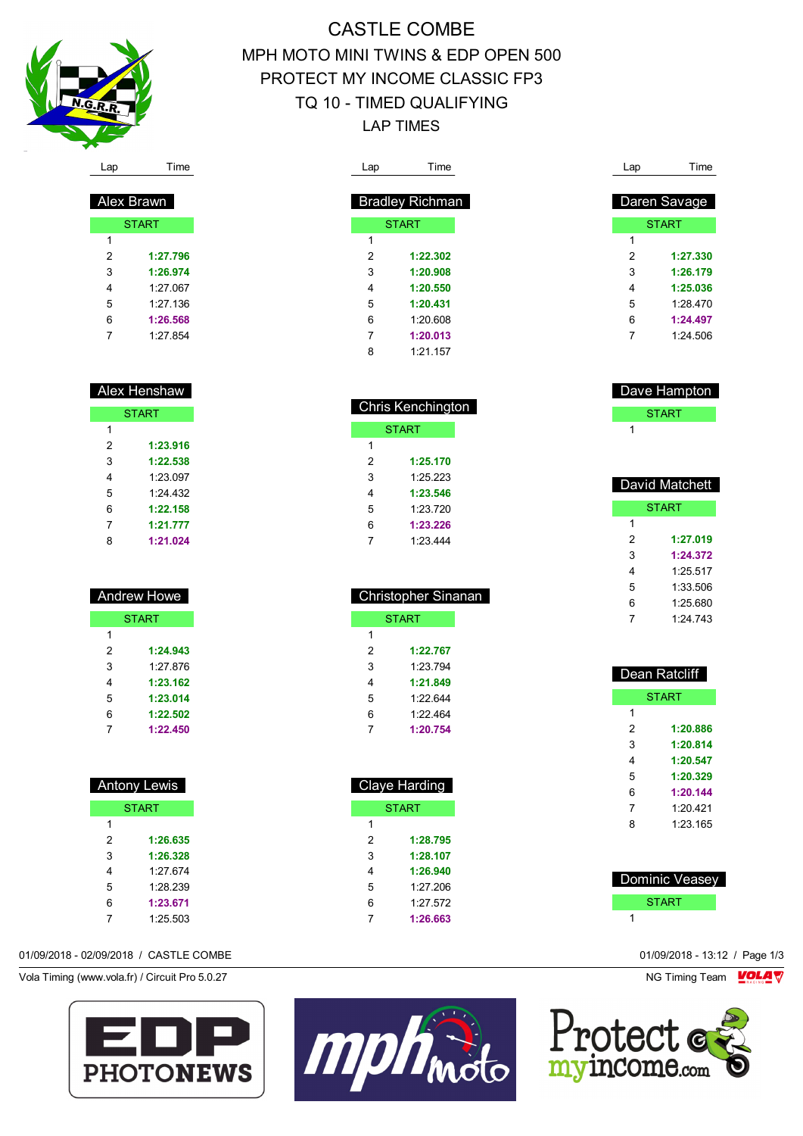

## CASTLE COMBE MPH MOTO MINI TWINS & EDP OPEN 500 PROTECT MY INCOME CLASSIC FP3 TQ 10 - TIMED QUALIFYING LAP TIMES

|                | <b>Bradley Richman</b> |   | Daren Savage |
|----------------|------------------------|---|--------------|
|                | <b>START</b>           |   | <b>START</b> |
| 1              |                        | 1 |              |
| $\overline{2}$ | 1:22.302               | 2 | 1:27.330     |
| 3              | 1:20.908               | 3 | 1:26.179     |
| 4              | 1:20.550               | 4 | 1:25.036     |
| 5              | 1:20.431               | 5 | 1:28.470     |
| 6              | 1:20.608               | 6 | 1:24.497     |
| 7              | 1:20.013               | 7 | 1:24.506     |
| 8              | 1:21.157               |   |              |

| <b>Chris Kenchington</b> |          |  |
|--------------------------|----------|--|
| <b>START</b>             |          |  |
| 1                        |          |  |
| 2                        | 1:25.170 |  |
| 3                        | 1:25.223 |  |
| 4                        | 1:23.546 |  |
| 5                        | 1.23 720 |  |
| 6                        | 1:23.226 |  |
|                          | 1.23.444 |  |

| <b>Christopher Sinanan</b> |          |  |  |
|----------------------------|----------|--|--|
| <b>START</b>               |          |  |  |
| 1                          |          |  |  |
| $\mathcal{P}$              | 1:22.767 |  |  |
| 3                          | 1.23 794 |  |  |
| 4                          | 1:21.849 |  |  |
| 5                          | 1:22.644 |  |  |
| 6                          | 1.22 464 |  |  |
|                            | 1:20.754 |  |  |

| <b>Claye Harding</b> |              |  |  |
|----------------------|--------------|--|--|
|                      | <b>START</b> |  |  |
| 1                    |              |  |  |
| 2                    | 1:28.795     |  |  |
| 3                    | 1:28.107     |  |  |
| 4                    | 1:26.940     |  |  |
| 5                    | 1.27 206     |  |  |
| 6                    | 1:27.572     |  |  |
|                      | 1:26.663     |  |  |

| Dave Hampton |  |
|--------------|--|
| <b>START</b> |  |
|              |  |

| David Matchett |              |  |  |
|----------------|--------------|--|--|
|                | <b>START</b> |  |  |
| 1              |              |  |  |
| 2              | 1:27.019     |  |  |
| 3              | 1:24.372     |  |  |
| 4              | 1.25 517     |  |  |
| 5              | 1:33.506     |  |  |
| 6              | 1:25.680     |  |  |
| 7              | 1.24 743     |  |  |
|                |              |  |  |

| Dean Ratcliff |              |  |
|---------------|--------------|--|
|               | <b>START</b> |  |
| 1             |              |  |
| 2             | 1:20.886     |  |
| 3             | 1:20.814     |  |
| 4             | 1:20.547     |  |
| 5             | 1:20.329     |  |
| 6             | 1:20.144     |  |
| 7             | 1:20.421     |  |
| ጸ             | 1.23 165     |  |
|               |              |  |

| <b>Dominic Veasey</b> |
|-----------------------|
| <b>START</b>          |
|                       |



| эp | Time |
|----|------|
|    |      |

| Alex Brawn   |          |  |  |
|--------------|----------|--|--|
| <b>START</b> |          |  |  |
| 1            |          |  |  |
| 2            | 1:27.796 |  |  |
| 3            | 1:26.974 |  |  |
| 4            | 1.27 067 |  |  |
| 5            | 1.27136  |  |  |
| 6            | 1:26.568 |  |  |
| 7            | 1.27 854 |  |  |

| <b>Alex Henshaw</b> |          |  |  |  |
|---------------------|----------|--|--|--|
| <b>START</b>        |          |  |  |  |
| 1                   |          |  |  |  |
| 2                   | 1:23.916 |  |  |  |
| 3                   | 1:22.538 |  |  |  |
| 4                   | 1.23097  |  |  |  |
| 5                   | 1.24 432 |  |  |  |
| 6                   | 1:22.158 |  |  |  |
| 7                   | 1:21.777 |  |  |  |
| 8                   | 1:21.024 |  |  |  |

|   | <b>Andrew Howe</b> |
|---|--------------------|
|   | <b>START</b>       |
| 1 |                    |
| 2 | 1:24.943           |
| 3 | 1.27 876           |
| 4 | 1:23.162           |
| 5 | 1:23.014           |
| 6 | 1:22.502           |
|   | 1:22.450           |

|   | <b>Antony Lewis</b> |
|---|---------------------|
|   | <b>START</b>        |
| 1 |                     |
| 2 | 1:26.635            |
| 3 | 1:26.328            |
| 4 | 1.27 674            |
| 5 | 1.28 239            |
| 6 | 1:23.671            |
|   | 1:25.503            |

01/09/2018 - 02/09/2018 / CASTLE COMBE 01/09/2018 - 13:12 / Page 1/3

Vola Timing (www.vola.fr) / Circuit Pro 5.0.27 **NG Timing Team MOLA View Area** NG Timing Team MOLA View Area NG Timing Team MOLA View Area NG Timing Team MOLA View Area NG Timing Team MOLA View Area NG Timing Team MOLA Vie



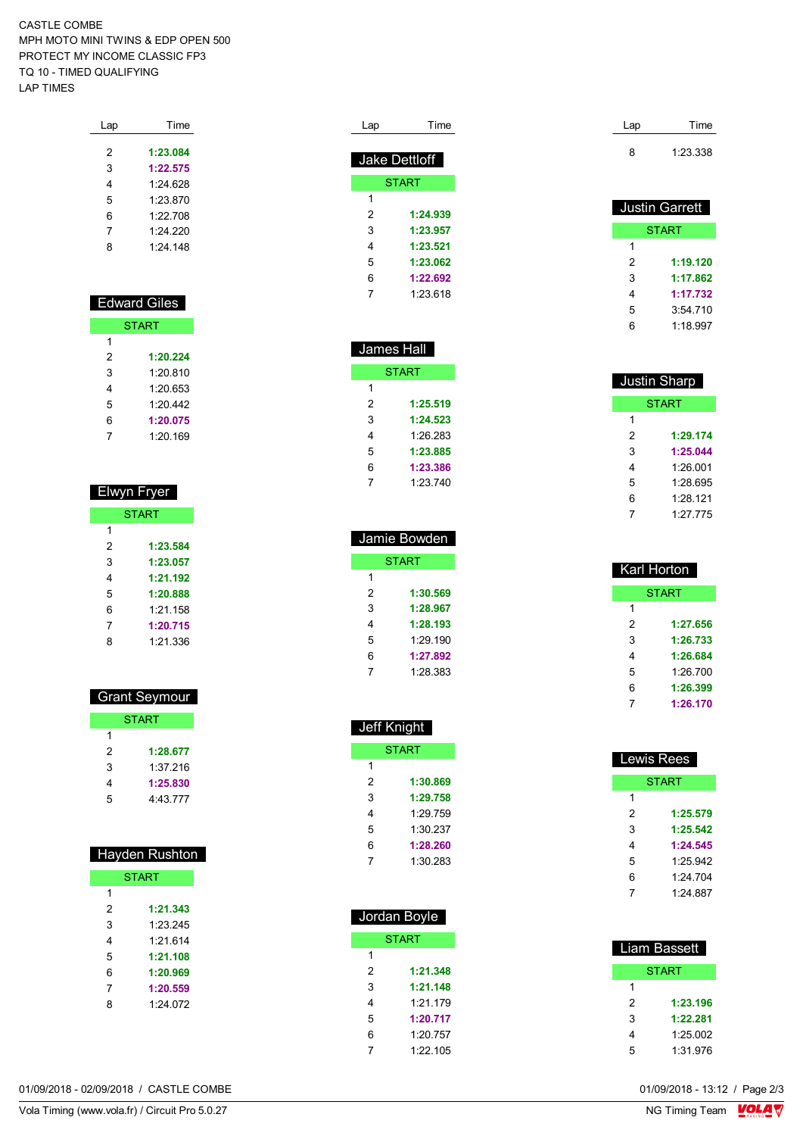CASTLE COMBE MPH MOTO MINI TWINS & EDP OPEN 500 PROTECT MY INCOME CLASSIC FP3 TQ 10 - TIMED QUALIFYING LAP TIMES

| Lap | Time       |
|-----|------------|
|     |            |
| 2   | 1:23.084   |
| 3   | 1:22.575   |
| 4   | 1.24 628   |
| 5   | 1:23.870   |
| 6   | 1.22708    |
| 7   | 1.24220    |
| 8   | $1.24$ 148 |
|     |            |

| <b>Edward Giles</b> |              |  |
|---------------------|--------------|--|
|                     | <b>START</b> |  |
| 1                   |              |  |
| 2                   | 1:20.224     |  |
| 3                   | 1:20.810     |  |
| 4                   | 1:20.653     |  |
| 5                   | 1.20442      |  |
| 6                   | 1:20.075     |  |
|                     | 1:20.169     |  |

| Elwyn Fryer  |          |  |  |
|--------------|----------|--|--|
| <b>START</b> |          |  |  |
|              |          |  |  |
| 1            |          |  |  |
| 2            | 1:23.584 |  |  |
| 3            | 1:23.057 |  |  |
| 4            | 1:21.192 |  |  |
| 5            | 1:20.888 |  |  |
| 6            | 1.21 158 |  |  |
| 7            | 1:20.715 |  |  |
| ጸ            | 1.21.336 |  |  |

|   | <b>Grant Seymour</b> |
|---|----------------------|
|   | <b>START</b>         |
| 1 |                      |
| 2 | 1:28.677             |
| 3 | 1:37 216             |
| 4 | 1:25.830             |
| 5 | 4:43 777             |

| <b>Hayden Rushton</b> |          |  |  |
|-----------------------|----------|--|--|
| <b>START</b>          |          |  |  |
| 1                     |          |  |  |
| 2                     | 1:21.343 |  |  |
| 3                     | 1.23.245 |  |  |
| 4                     | 1.21 614 |  |  |
| 5                     | 1:21.108 |  |  |
| 6                     | 1:20.969 |  |  |
| 7                     | 1:20.559 |  |  |
| ጸ                     | 1.24 072 |  |  |
|                       |          |  |  |

| Lap | Time          |
|-----|---------------|
|     |               |
|     | Jake Dettloff |
|     | <b>START</b>  |
| 1   |               |
| 2   | 1:24.939      |
| 3   | 1:23.957      |
| 4   | 1:23.521      |
| 5   | 1:23.062      |
| հ   | 1:22.692      |
|     | 1.23.618      |

| James Hall |              |
|------------|--------------|
|            | <b>START</b> |
| 1          |              |
| 2          | 1:25.519     |
| 3          | 1:24.523     |
| 4          | 1.26.283     |
| 5          | 1:23.885     |
| 6          | 1:23.386     |
|            | 1.23.740     |

| Jamie Bowden |              |  |
|--------------|--------------|--|
|              | <b>START</b> |  |
| 1            |              |  |
| 2            | 1:30.569     |  |
| 3            | 1:28.967     |  |
| 4            | 1:28.193     |  |
| 5            | 1.29.190     |  |
| 6            | 1:27.892     |  |
|              | 1:28.383     |  |

|   | <b>Jeff Knight</b> |
|---|--------------------|
|   | START              |
| 1 |                    |
| 2 | 1:30.869           |
| 3 | 1:29.758           |
| 4 | 1:29.759           |
| - | 1.0000             |

| 5 | 1:30.237 |  |
|---|----------|--|
| 6 | 1:28.260 |  |
| 7 | 1:30.283 |  |
|   |          |  |

| Jordan Boyle |              |
|--------------|--------------|
|              | <b>START</b> |
| 1            |              |
| 2            | 1:21.348     |
| 3            | 1:21.148     |
| 4            | 1.21179      |
| 5            | 1:20.717     |
| 6            | 1.20.757     |
| 7            | 1.22105      |
|              |              |

| Lap | Time     |
|-----|----------|
| 8   | 1:23.338 |

| <b>Justin Garrett</b> |          |
|-----------------------|----------|
|                       | START    |
| 1                     |          |
| 2                     | 1:19.120 |
| 3                     | 1:17.862 |
| 4                     | 1:17.732 |
| 5                     | 3:54.710 |
| հ                     | 1:18.997 |

| <b>Justin Sharp</b> |              |
|---------------------|--------------|
|                     | <b>START</b> |
| 1                   |              |
| 2                   | 1:29.174     |
| 3                   | 1:25.044     |
| 4                   | 1:26.001     |
| 5                   | 1.28 695     |
| 6                   | 1.28 121     |
|                     | 1.27 775     |

| Karl Horton |              |
|-------------|--------------|
|             | <b>START</b> |
| 1           |              |
| 2           | 1:27.656     |
| 3           | 1:26.733     |
| 4           | 1:26.684     |
| 5           | 1:26.700     |
| 6           | 1:26.399     |
| 7           | 1:26.170     |

| Lewis Rees |              |
|------------|--------------|
|            | <b>START</b> |
| 1          |              |
| 2          | 1:25.579     |
| 3          | 1:25.542     |
| 4          | 1:24.545     |
| 5          | 1.25.942     |
| 6          | 1.24 704     |
|            | 1:24 887     |

| <b>Liam Bassett</b> |              |
|---------------------|--------------|
|                     | <b>START</b> |
| 1                   |              |
| 2                   | 1:23,196     |
| 3                   | 1:22.281     |
| 4                   | 1:25.002     |
| 5                   | 1:31.976     |

01/09/2018 - 02/09/2018 / CASTLE COMBE